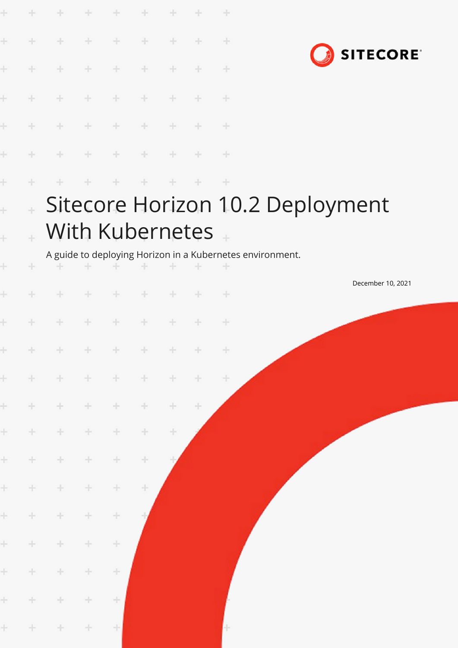| ÷<br>÷ |     | ÷.<br>÷<br>÷    | $\sim$<br>$+$<br>÷   | ÷<br>$+$<br>÷ | $\rightarrow$<br>$\div$<br>÷ | ÷     |        | ÷<br>$\rightarrow$<br>÷<br>÷ |                                                                                               |  | <b>SITECORE</b>   |  |
|--------|-----|-----------------|----------------------|---------------|------------------------------|-------|--------|------------------------------|-----------------------------------------------------------------------------------------------|--|-------------------|--|
|        |     | ÷.              |                      |               |                              |       |        | ÷                            |                                                                                               |  |                   |  |
|        |     |                 | $\div$               | ÷             | ÷                            | ÷     |        | ÷                            |                                                                                               |  |                   |  |
| ÷      |     | With Kubernetes |                      |               |                              | ÷     |        | ÷                            | Sitecore Horizon 10.2 Deployment<br>A guide to deploying Horizon in a Kubernetes environment. |  |                   |  |
|        |     | ÷               | ÷                    | ÷             | ÷                            | ÷     | ÷.     | $+$                          |                                                                                               |  | December 10, 2021 |  |
|        |     |                 | ÷                    | ÷.            | ÷                            | $+$   |        | ÷                            |                                                                                               |  |                   |  |
|        | 十   | $+$             | $+$                  | $+$           | $+$                          | 十     | $+$    | - Hr                         |                                                                                               |  |                   |  |
|        | $+$ | $+$             | $+$                  | $\pm$         | $+$                          | $+$   | $+$    | $\rightarrow$                |                                                                                               |  |                   |  |
|        | $+$ | $+$             | $\div$               | ÷             | $\div$                       | $\pm$ | $\div$ |                              |                                                                                               |  |                   |  |
|        | $+$ | $\pm$           | $\pm$                | ÷             | ÷                            | ÷     |        |                              |                                                                                               |  |                   |  |
| $\div$ |     | $\div$          | $\pm$                | ÷             | ÷                            |       |        |                              |                                                                                               |  |                   |  |
| $\pm$  |     | $\div$          | $\pm$                | ÷             | ÷                            |       |        |                              |                                                                                               |  |                   |  |
| $+$    |     | ÷               | ÷                    | ÷             |                              |       |        |                              |                                                                                               |  |                   |  |
| $+ \,$ |     | $\div$          | ÷                    | $\div$        |                              |       |        |                              |                                                                                               |  |                   |  |
| $\pm$  |     | $\pm$           | ÷                    | ÷             |                              |       |        |                              |                                                                                               |  |                   |  |
| $\pm$  |     | $\pm$           | $\frac{1}{\sqrt{2}}$ | ÷             |                              |       |        |                              |                                                                                               |  |                   |  |
|        | $+$ | $\pm$           | $\rightarrow$        | 土             |                              |       |        |                              |                                                                                               |  |                   |  |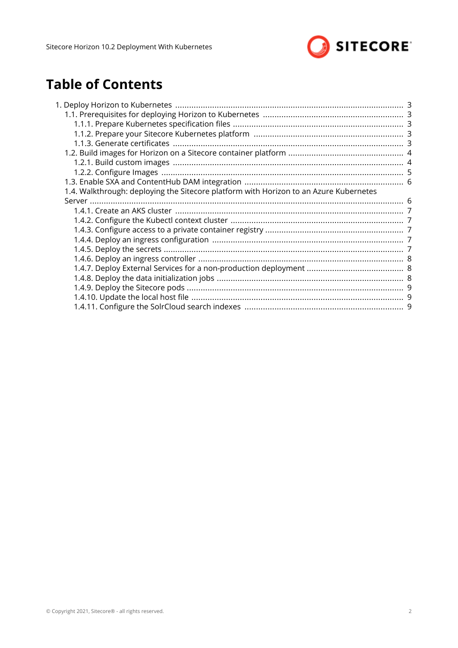

# **Table of Contents**

| 1.4. Walkthrough: deploying the Sitecore platform with Horizon to an Azure Kubernetes |  |
|---------------------------------------------------------------------------------------|--|
|                                                                                       |  |
|                                                                                       |  |
|                                                                                       |  |
|                                                                                       |  |
|                                                                                       |  |
|                                                                                       |  |
|                                                                                       |  |
|                                                                                       |  |
|                                                                                       |  |
|                                                                                       |  |
|                                                                                       |  |
|                                                                                       |  |
|                                                                                       |  |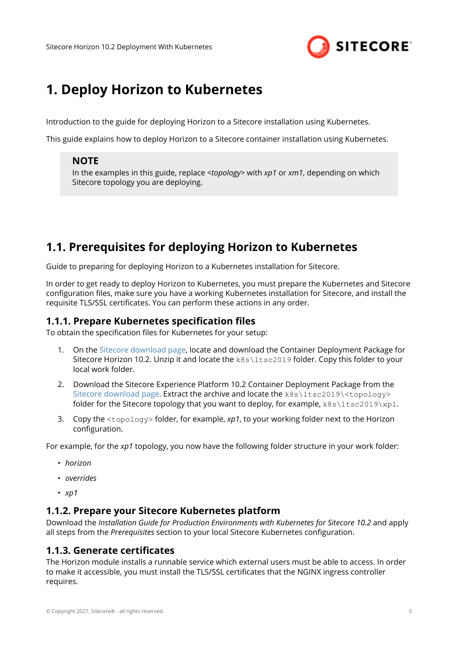

# <span id="page-2-0"></span>**1. Deploy Horizon to Kubernetes**

Introduction to the guide for deploying Horizon to a Sitecore installation using Kubernetes.

This guide explains how to deploy Horizon to a Sitecore container installation using Kubernetes.

#### **NOTE**

In the examples in this guide, replace *<topology>* with *xp1* or *xm1*, depending on which Sitecore topology you are deploying.

# **1.1. Prerequisites for deploying Horizon to Kubernetes**

Guide to preparing for deploying Horizon to a Kubernetes installation for Sitecore.

In order to get ready to deploy Horizon to Kubernetes, you must prepare the Kubernetes and Sitecore configuration files, make sure you have a working Kubernetes installation for Sitecore, and install the requisite TLS/SSL certificates. You can perform these actions in any order.

#### **1.1.1. Prepare Kubernetes specification files**

To obtain the specification files for Kubernetes for your setup:

- 1. On the [Sitecore download page](https://dev.sitecore.net/Downloads/Sitecore_Horizon.aspx), locate and download the Container Deployment Package for Sitecore Horizon 10.2. Unzip it and locate the k8s\ltsc2019 folder. Copy this folder to your local work folder.
- 2. Download the Sitecore Experience Platform 10.2 Container Deployment Package from the [Sitecore download page.](https://dev.sitecore.net/Downloads/Sitecore_Experience_Platform.aspx) Extract the archive and locate the k8s\ltsc2019\<topology> folder for the Sitecore topology that you want to deploy, for example,  $k8s\lt1tsc2019\lt xp1$ .
- 3. Copy the <topology> folder, for example, *xp1*, to your working folder next to the Horizon configuration.

For example, for the *xp1* topology, you now have the following folder structure in your work folder:

- *horizon*
- *overrides*
- *xp1*

#### **1.1.2. Prepare your Sitecore Kubernetes platform**

Download the *Installation Guide for Production Environments with Kubernetes for Sitecore 10.2* and apply all steps from the *Prerequisites* section to your local Sitecore Kubernetes configuration.

#### **1.1.3. Generate certificates**

The Horizon module installs a runnable service which external users must be able to access. In order to make it accessible, you must install the TLS/SSL certificates that the NGINX ingress controller requires.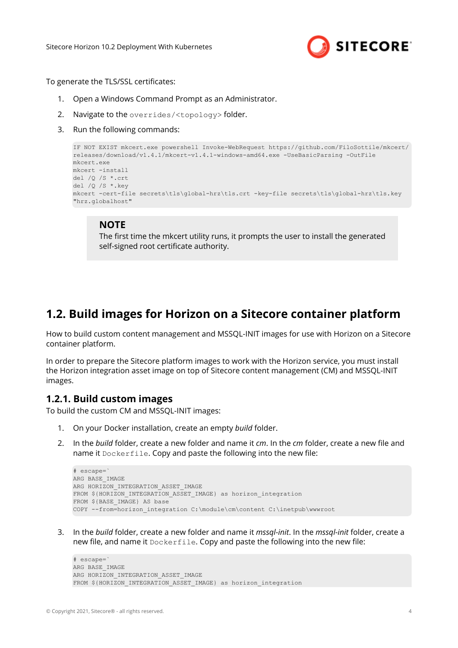

<span id="page-3-0"></span>To generate the TLS/SSL certificates:

- 1. Open a Windows Command Prompt as an Administrator.
- 2. Navigate to the overrides/<topology> folder.
- 3. Run the following commands:

```
IF NOT EXIST mkcert.exe powershell Invoke-WebRequest https://github.com/FiloSottile/mkcert/
releases/download/v1.4.1/mkcert-v1.4.1-windows-amd64.exe -UseBasicParsing -OutFile 
mkcert.exe
mkcert -install
del /Q /S *.crt
del /Q /S *.key
mkcert -cert-file secrets\tls\global-hrz\tls.crt -key-file secrets\tls\global-hrz\tls.key 
"hrz.globalhost"
```
#### **NOTE**

The first time the mkcert utility runs, it prompts the user to install the generated self-signed root certificate authority.

# **1.2. Build images for Horizon on a Sitecore container platform**

How to build custom content management and MSSQL-INIT images for use with Horizon on a Sitecore container platform.

In order to prepare the Sitecore platform images to work with the Horizon service, you must install the Horizon integration asset image on top of Sitecore content management (CM) and MSSQL-INIT images.

#### **1.2.1. Build custom images**

To build the custom CM and MSSQL-INIT images:

- 1. On your Docker installation, create an empty *build* folder.
- 2. In the *build* folder, create a new folder and name it *cm*. In the *cm* folder, create a new file and name it Dockerfile. Copy and paste the following into the new file:

```
# escape=`
ARG BASE_IMAGE 
ARG HORIZON INTEGRATION ASSET IMAGE
FROM ${HORIZON INTEGRATION ASSET IMAGE} as horizon integration
FROM ${BASE IMAGE} AS base
COPY --from=horizon_integration C:\module\cm\content C:\inetpub\wwwroot
```
3. In the *build* folder, create a new folder and name it *mssql-init*. In the *mssql-init* folder, create a new file, and name it Dockerfile. Copy and paste the following into the new file:

# escape=` ARG BASE\_IMAGE ARG HORIZON INTEGRATION ASSET IMAGE FROM \${HORIZON INTEGRATION ASSET IMAGE} as horizon integration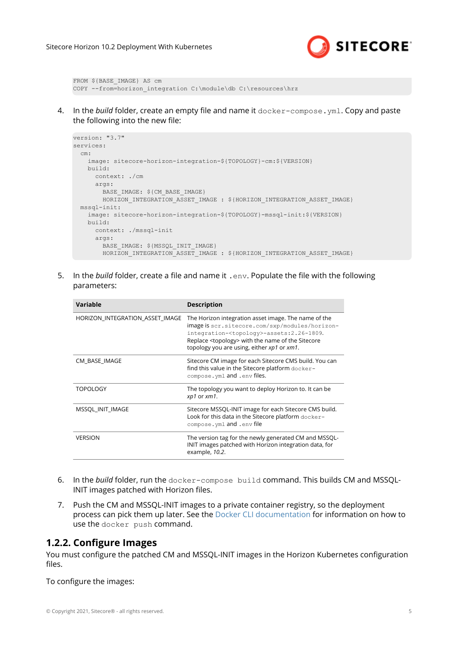

<span id="page-4-0"></span>FROM \${BASE\_IMAGE} AS cm COPY --from=horizon integration C:\module\db C:\resources\hrz

4. In the *build* folder, create an empty file and name it docker-compose.yml. Copy and paste the following into the new file:

```
version: "3.7"
services:
   cm:
    image: sitecore-horizon-integration-${TOPOLOGY}-cm:${VERSION}
    build:
       context: ./cm
     args:
       BASE IMAGE: $ {CM_BASE IMAGE}
       HORIZON INTEGRATION ASSET IMAGE : ${HORIZON INTEGRATION ASSET IMAGE}
  mssql-init:
    image: sitecore-horizon-integration-${TOPOLOGY}-mssql-init:${VERSION}
    build:
      context: ./mssql-init
      args:
        BASE IMAGE: $ {MSSQL INIT IMAGE}
         HORIZON_INTEGRATION_ASSET_IMAGE : ${HORIZON_INTEGRATION_ASSET_IMAGE}
```
5. In the *build* folder, create a file and name it . env. Populate the file with the following parameters:

| Variable                        | <b>Description</b>                                                                                                                                                                                                                                                            |
|---------------------------------|-------------------------------------------------------------------------------------------------------------------------------------------------------------------------------------------------------------------------------------------------------------------------------|
| HORIZON INTEGRATION ASSET IMAGE | The Horizon integration asset image. The name of the<br>image is scr.sitecore.com/sxp/modules/horizon-<br>integration- <topology>-assets:2.26-1809.<br/>Replace <topology> with the name of the Sitecore<br/>topology you are using, either xp1 or xm1.</topology></topology> |
| CM BASE IMAGE                   | Sitecore CM image for each Sitecore CMS build. You can<br>find this value in the Sitecore platform docker-<br>compose. yml and . env files.                                                                                                                                   |
| <b>TOPOLOGY</b>                 | The topology you want to deploy Horizon to. It can be<br>xp1 or xm1.                                                                                                                                                                                                          |
| MSSQL INIT IMAGE                | Sitecore MSSQL-INIT image for each Sitecore CMS build.<br>Look for this data in the Sitecore platform docker-<br>compose. yml and . env file                                                                                                                                  |
| <b>VERSION</b>                  | The version tag for the newly generated CM and MSSQL-<br>INIT images patched with Horizon integration data, for<br>example, 10.2.                                                                                                                                             |

- 6. In the *build* folder, run the docker-compose build command. This builds CM and MSSQL-INIT images patched with Horizon files.
- 7. Push the CM and MSSQL-INIT images to a private container registry, so the deployment process can pick them up later. See the [Docker CLI documentation](https://docs.docker.com/engine/reference/commandline/push/) for information on how to use the docker push command.

#### **1.2.2. Configure Images**

You must configure the patched CM and MSSQL-INIT images in the Horizon Kubernetes configuration files.

To configure the images: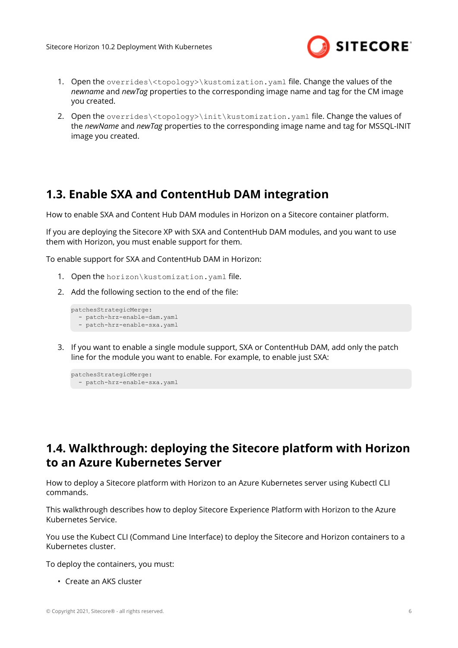

- <span id="page-5-0"></span>1. Open the overrides\<topology>\kustomization.yaml file. Change the values of the *newname* and *newTag* properties to the corresponding image name and tag for the CM image you created.
- 2. Open the overrides\<topology>\init\kustomization.yaml file. Change the values of the *newName* and *newTag* properties to the corresponding image name and tag for MSSQL-INIT image you created.

# **1.3. Enable SXA and ContentHub DAM integration**

How to enable SXA and Content Hub DAM modules in Horizon on a Sitecore container platform.

If you are deploying the Sitecore XP with SXA and ContentHub DAM modules, and you want to use them with Horizon, you must enable support for them.

To enable support for SXA and ContentHub DAM in Horizon:

- 1. Open the horizon\kustomization.yaml file.
- 2. Add the following section to the end of the file:

```
patchesStrategicMerge:
   - patch-hrz-enable-dam.yaml
   - patch-hrz-enable-sxa.yaml
```
3. If you want to enable a single module support, SXA or ContentHub DAM, add only the patch line for the module you want to enable. For example, to enable just SXA:

```
patchesStrategicMerge:
   - patch-hrz-enable-sxa.yaml
```
# **1.4. Walkthrough: deploying the Sitecore platform with Horizon to an Azure Kubernetes Server**

How to deploy a Sitecore platform with Horizon to an Azure Kubernetes server using Kubectl CLI commands.

This walkthrough describes how to deploy Sitecore Experience Platform with Horizon to the Azure Kubernetes Service.

You use the Kubect CLI (Command Line Interface) to deploy the Sitecore and Horizon containers to a Kubernetes cluster.

To deploy the containers, you must:

• Create an AKS cluster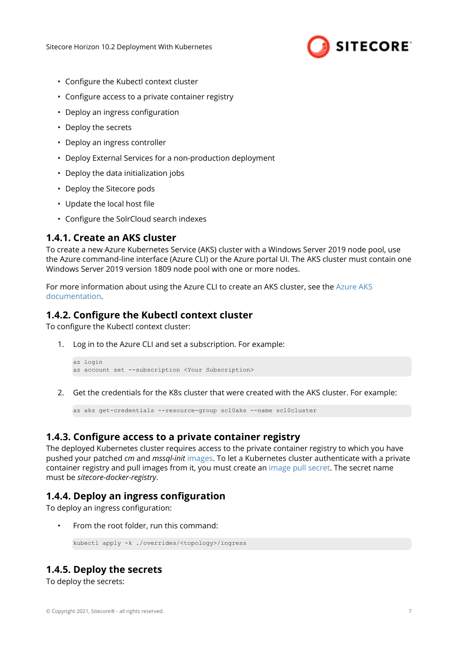

- <span id="page-6-0"></span>• Configure the Kubectl context cluster
- Configure access to a private container registry
- Deploy an ingress configuration
- Deploy the secrets
- Deploy an ingress controller
- Deploy External Services for a non-production deployment
- Deploy the data initialization jobs
- Deploy the Sitecore pods
- Update the local host file
- Configure the SolrCloud search indexes

#### **1.4.1. Create an AKS cluster**

To create a new Azure Kubernetes Service (AKS) cluster with a Windows Server 2019 node pool, use the Azure command-line interface (Azure CLI) or the Azure portal UI. The AKS cluster must contain one Windows Server 2019 version 1809 node pool with one or more nodes.

For more information about using the Azure CLI to create an AKS cluster, see the [Azure AKS](https://docs.microsoft.com/en-us/azure/aks/windows-container-cli) [documentation](https://docs.microsoft.com/en-us/azure/aks/windows-container-cli).

### **1.4.2. Configure the Kubectl context cluster**

To configure the Kubectl context cluster:

1. Log in to the Azure CLI and set a subscription. For example:

```
az login 
az account set --subscription <Your Subscription>
```
2. Get the credentials for the K8s cluster that were created with the AKS cluster. For example:

```
az aks get-credentials --resource-group sc10aks --name sc10cluster
```
## **1.4.3. Configure access to a private container registry**

The deployed Kubernetes cluster requires access to the private container registry to which you have pushed your patched *cm* and *mssql-init* [images.](#page-3-0) To let a Kubernetes cluster authenticate with a private container registry and pull images from it, you must create an [image pull secret.](https://kubernetes.io/docs/tasks/configure-pod-container/pull-image-private-registry/) The secret name must be *sitecore-docker-registry*.

#### **1.4.4. Deploy an ingress configuration**

To deploy an ingress configuration:

• From the root folder, run this command:

```
kubectl apply -k ./overrides/<topology>/ingress
```
## **1.4.5. Deploy the secrets**

To deploy the secrets: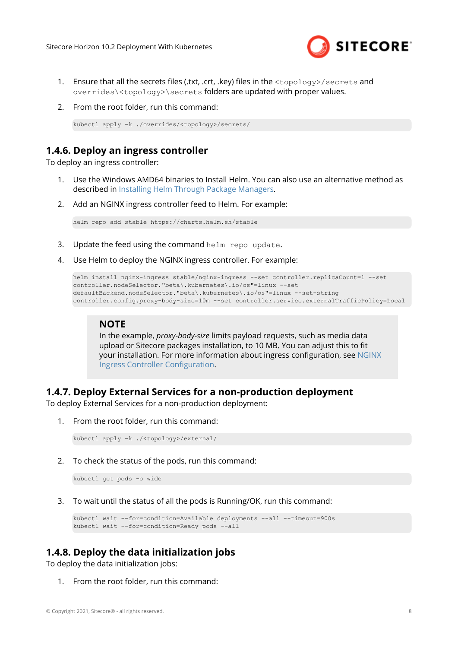

- <span id="page-7-0"></span>1. Ensure that all the secrets files (.txt, .crt, .key) files in the  $\langle$ topology>/secrets and overrides\<topology>\secrets folders are updated with proper values.
- 2. From the root folder, run this command:

```
kubectl apply -k ./overrides/<topology>/secrets/
```
## **1.4.6. Deploy an ingress controller**

To deploy an ingress controller:

- 1. Use the Windows AMD64 binaries to Install Helm. You can also use an alternative method as described in [Installing Helm Through Package Managers.](https://helm.sh/docs/intro/install/)
- 2. Add an NGINX ingress controller feed to Helm. For example:

```
helm repo add stable https://charts.helm.sh/stable
```
- 3. Update the feed using the command helm repo update.
- 4. Use Helm to deploy the NGINX ingress controller. For example:

```
helm install nginx-ingress stable/nginx-ingress --set controller.replicaCount=1 --set 
controller.nodeSelector."beta\.kubernetes\.io/os"=linux --set 
defaultBackend.nodeSelector."beta\.kubernetes\.io/os"=linux --set-string 
controller.config.proxy-body-size=10m --set controller.service.externalTrafficPolicy=Local
```
#### **NOTE**

In the example, *proxy-body-size* limits payload requests, such as media data upload or Sitecore packages installation, to 10 MB. You can adjust this to fit your installation. For more information about ingress configuration, see [NGINX](https://github.com/helm/charts/tree/master/stable/nginx-ingress#configuration) Ingress Controller Configuration.

#### **1.4.7. Deploy External Services for a non-production deployment**

To deploy External Services for a non-production deployment:

1. From the root folder, run this command:

```
kubectl apply -k ./<topology>/external/
```
2. To check the status of the pods, run this command:

kubectl get pods -o wide

3. To wait until the status of all the pods is Running/OK, run this command:

```
kubectl wait --for=condition=Available deployments --all --timeout=900s
kubectl wait --for=condition=Ready pods --all
```
## **1.4.8. Deploy the data initialization jobs**

To deploy the data initialization jobs:

1. From the root folder, run this command: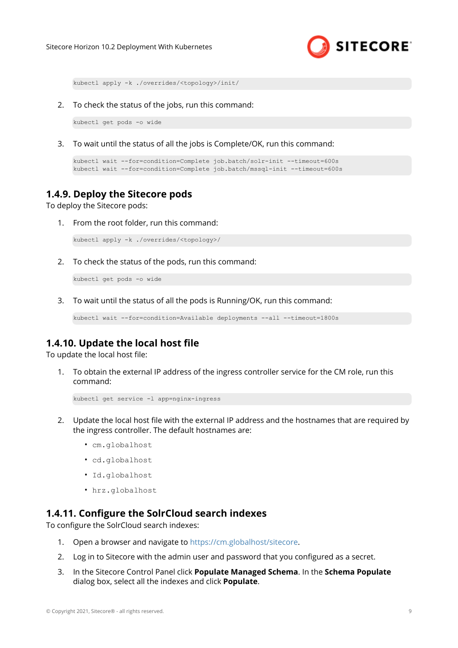

<span id="page-8-0"></span>kubectl apply -k ./overrides/<topology>/init/

2. To check the status of the jobs, run this command:

kubectl get pods -o wide

3. To wait until the status of all the jobs is Complete/OK, run this command:

```
kubectl wait --for=condition=Complete job.batch/solr-init --timeout=600s
kubectl wait --for=condition=Complete job.batch/mssql-init --timeout=600s
```
#### **1.4.9. Deploy the Sitecore pods**

To deploy the Sitecore pods:

1. From the root folder, run this command:

kubectl apply -k ./overrides/<topology>/

2. To check the status of the pods, run this command:

kubectl get pods -o wide

3. To wait until the status of all the pods is Running/OK, run this command:

```
kubectl wait --for=condition=Available deployments --all --timeout=1800s
```
## **1.4.10. Update the local host file**

To update the local host file:

1. To obtain the external IP address of the ingress controller service for the CM role, run this command:

```
kubectl get service -l app=nginx-ingress
```
- 2. Update the local host file with the external IP address and the hostnames that are required by the ingress controller. The default hostnames are:
	- cm.globalhost
	- cd.globalhost
	- Id.globalhost
	- hrz.globalhost

#### **1.4.11. Configure the SolrCloud search indexes**

To configure the SolrCloud search indexes:

- 1. Open a browser and navigate to<https://cm.globalhost/sitecore>.
- 2. Log in to Sitecore with the admin user and password that you configured as a secret.
- 3. In the Sitecore Control Panel click **Populate Managed Schema**. In the **Schema Populate** dialog box, select all the indexes and click **Populate**.